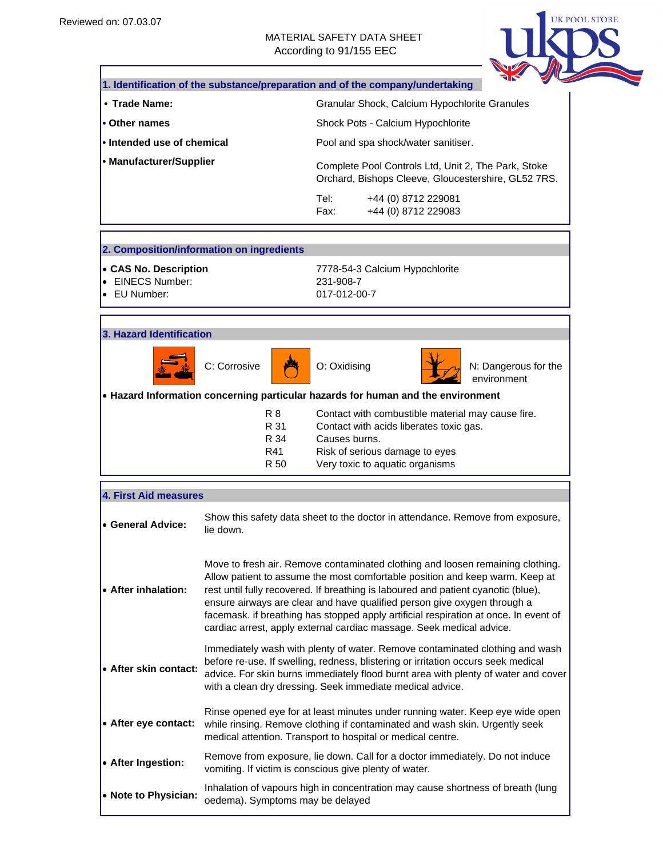#### MATERIAL SAFETY DATA SHEET According to 91/155 EEC



|                                                           |                                                                                                                                                                                                                                                                                                                                                                                                                                                                                                 |                           | 1. Identification of the substance/preparation and of the company/undertaking                              |                                     |  |
|-----------------------------------------------------------|-------------------------------------------------------------------------------------------------------------------------------------------------------------------------------------------------------------------------------------------------------------------------------------------------------------------------------------------------------------------------------------------------------------------------------------------------------------------------------------------------|---------------------------|------------------------------------------------------------------------------------------------------------|-------------------------------------|--|
| • Trade Name:                                             |                                                                                                                                                                                                                                                                                                                                                                                                                                                                                                 |                           | Granular Shock, Calcium Hypochlorite Granules                                                              |                                     |  |
| • Other names                                             |                                                                                                                                                                                                                                                                                                                                                                                                                                                                                                 |                           | Shock Pots - Calcium Hypochlorite                                                                          |                                     |  |
| • Intended use of chemical                                |                                                                                                                                                                                                                                                                                                                                                                                                                                                                                                 |                           | Pool and spa shock/water sanitiser.                                                                        |                                     |  |
| • Manufacturer/Supplier                                   |                                                                                                                                                                                                                                                                                                                                                                                                                                                                                                 |                           | Complete Pool Controls Ltd, Unit 2, The Park, Stoke<br>Orchard, Bishops Cleeve, Gloucestershire, GL52 7RS. |                                     |  |
|                                                           |                                                                                                                                                                                                                                                                                                                                                                                                                                                                                                 | Tel:<br>Fax:              | +44 (0) 8712 229081<br>+44 (0) 8712 229083                                                                 |                                     |  |
|                                                           | 2. Composition/information on ingredients                                                                                                                                                                                                                                                                                                                                                                                                                                                       |                           |                                                                                                            |                                     |  |
| • CAS No. Description<br>• EINECS Number:<br>• EU Number: |                                                                                                                                                                                                                                                                                                                                                                                                                                                                                                 | 231-908-7<br>017-012-00-7 | 7778-54-3 Calcium Hypochlorite                                                                             |                                     |  |
| 3. Hazard Identification                                  |                                                                                                                                                                                                                                                                                                                                                                                                                                                                                                 |                           |                                                                                                            |                                     |  |
|                                                           | C: Corrosive                                                                                                                                                                                                                                                                                                                                                                                                                                                                                    | O: Oxidising              |                                                                                                            | N: Dangerous for the<br>environment |  |
|                                                           |                                                                                                                                                                                                                                                                                                                                                                                                                                                                                                 |                           | • Hazard Information concerning particular hazards for human and the environment                           |                                     |  |
|                                                           | R 8                                                                                                                                                                                                                                                                                                                                                                                                                                                                                             |                           | Contact with combustible material may cause fire.                                                          |                                     |  |
|                                                           | R 31<br>R 34                                                                                                                                                                                                                                                                                                                                                                                                                                                                                    | Causes burns.             | Contact with acids liberates toxic gas.                                                                    |                                     |  |
|                                                           | R41<br>R 50                                                                                                                                                                                                                                                                                                                                                                                                                                                                                     |                           | Risk of serious damage to eyes<br>Very toxic to aquatic organisms                                          |                                     |  |
| <b>4. First Aid measures</b>                              |                                                                                                                                                                                                                                                                                                                                                                                                                                                                                                 |                           |                                                                                                            |                                     |  |
| • General Advice:                                         | lie down.                                                                                                                                                                                                                                                                                                                                                                                                                                                                                       |                           | Show this safety data sheet to the doctor in attendance. Remove from exposure,                             |                                     |  |
| • After inhalation:                                       | Move to fresh air. Remove contaminated clothing and loosen remaining clothing.<br>Allow patient to assume the most comfortable position and keep warm. Keep at<br>rest until fully recovered. If breathing is laboured and patient cyanotic (blue),<br>ensure airways are clear and have qualified person give oxygen through a<br>facemask. if breathing has stopped apply artificial respiration at once. In event of<br>cardiac arrest, apply external cardiac massage. Seek medical advice. |                           |                                                                                                            |                                     |  |
| • After skin contact:                                     | Immediately wash with plenty of water. Remove contaminated clothing and wash<br>before re-use. If swelling, redness, blistering or irritation occurs seek medical<br>advice. For skin burns immediately flood burnt area with plenty of water and cover<br>with a clean dry dressing. Seek immediate medical advice.                                                                                                                                                                            |                           |                                                                                                            |                                     |  |
| • After eye contact:                                      | Rinse opened eye for at least minutes under running water. Keep eye wide open<br>while rinsing. Remove clothing if contaminated and wash skin. Urgently seek<br>medical attention. Transport to hospital or medical centre.                                                                                                                                                                                                                                                                     |                           |                                                                                                            |                                     |  |
| • After Ingestion:                                        | Remove from exposure, lie down. Call for a doctor immediately. Do not induce<br>vomiting. If victim is conscious give plenty of water.                                                                                                                                                                                                                                                                                                                                                          |                           |                                                                                                            |                                     |  |
| • Note to Physician:                                      | Inhalation of vapours high in concentration may cause shortness of breath (lung<br>oedema). Symptoms may be delayed                                                                                                                                                                                                                                                                                                                                                                             |                           |                                                                                                            |                                     |  |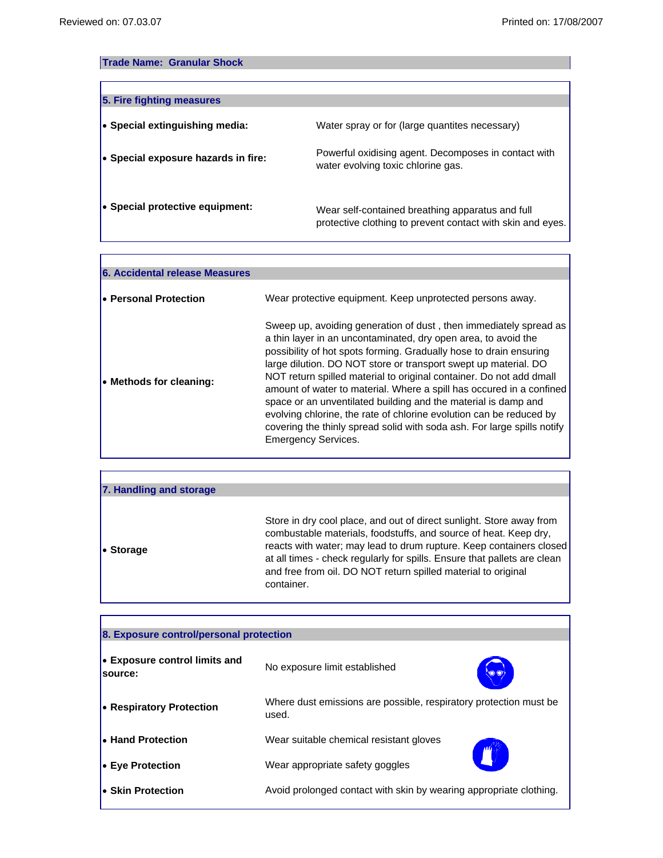'n

٦

٦

# **Trade Name: Granular Shock**

| 5. Fire fighting measures              |                                                                                                                |
|----------------------------------------|----------------------------------------------------------------------------------------------------------------|
| $\bullet$ Special extinguishing media: | Water spray or for (large quantites necessary)                                                                 |
| • Special exposure hazards in fire:    | Powerful oxidising agent. Decomposes in contact with<br>water evolving toxic chlorine gas.                     |
| • Special protective equipment:        | Wear self-contained breathing apparatus and full<br>protective clothing to prevent contact with skin and eyes. |

| 6. Accidental release Measures |                                                                                                                                                                                                                                                                                                                                                                                                                                                                                                                                                                                                                                                                               |
|--------------------------------|-------------------------------------------------------------------------------------------------------------------------------------------------------------------------------------------------------------------------------------------------------------------------------------------------------------------------------------------------------------------------------------------------------------------------------------------------------------------------------------------------------------------------------------------------------------------------------------------------------------------------------------------------------------------------------|
| • Personal Protection          | Wear protective equipment. Keep unprotected persons away.                                                                                                                                                                                                                                                                                                                                                                                                                                                                                                                                                                                                                     |
| • Methods for cleaning:        | Sweep up, avoiding generation of dust, then immediately spread as<br>a thin layer in an uncontaminated, dry open area, to avoid the<br>possibility of hot spots forming. Gradually hose to drain ensuring<br>large dilution. DO NOT store or transport swept up material. DO<br>NOT return spilled material to original container. Do not add dmall<br>amount of water to material. Where a spill has occured in a confined<br>space or an unventilated building and the material is damp and<br>evolving chlorine, the rate of chlorine evolution can be reduced by<br>covering the thinly spread solid with soda ash. For large spills notify<br><b>Emergency Services.</b> |

| 7. Handling and storage |                                                                                                                                                                                                                                                                                                                                                                            |
|-------------------------|----------------------------------------------------------------------------------------------------------------------------------------------------------------------------------------------------------------------------------------------------------------------------------------------------------------------------------------------------------------------------|
| • Storage               | Store in dry cool place, and out of direct sunlight. Store away from<br>combustable materials, foodstuffs, and source of heat. Keep dry,<br>reacts with water; may lead to drum rupture. Keep containers closed<br>at all times - check regularly for spills. Ensure that pallets are clean<br>and free from oil. DO NOT return spilled material to original<br>container. |

| 8. Exposure control/personal protection                                                      |                                                                            |  |
|----------------------------------------------------------------------------------------------|----------------------------------------------------------------------------|--|
| • Exposure control limits and<br>source:                                                     | No exposure limit established<br>$\circ$                                   |  |
| <b>• Respiratory Protection</b>                                                              | Where dust emissions are possible, respiratory protection must be<br>used. |  |
| <b>E</b> Hand Protection                                                                     | Wear suitable chemical resistant gloves                                    |  |
| <b>Eve Protection</b> ●                                                                      | Wear appropriate safety goggles                                            |  |
| Avoid prolonged contact with skin by wearing appropriate clothing.<br><b>Skin Protection</b> |                                                                            |  |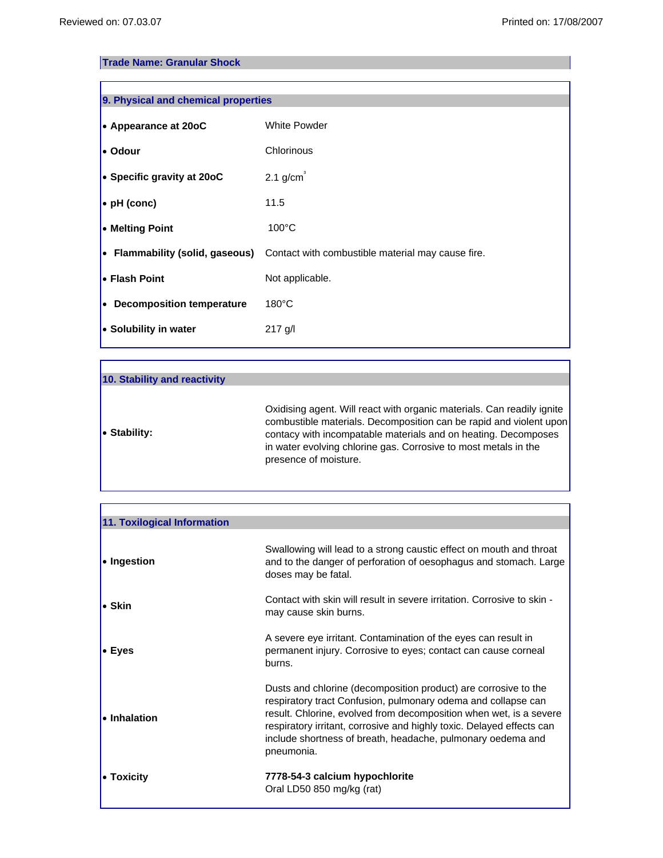### **Trade Name: Granular Shock**

| 9. Physical and chemical properties |                                                                                           |  |
|-------------------------------------|-------------------------------------------------------------------------------------------|--|
| $\bullet$ Appearance at 20oC        | <b>White Powder</b>                                                                       |  |
| l• Odour                            | Chlorinous                                                                                |  |
| $\bullet$ Specific gravity at 20oC  | $2.1$ g/cm <sup>3</sup>                                                                   |  |
| $\bullet$ pH (conc)                 | 11.5                                                                                      |  |
| • Melting Point                     | $100^{\circ}$ C                                                                           |  |
|                                     | $\bullet$ Flammability (solid, gaseous) Contact with combustible material may cause fire. |  |
| l• Flash Point                      | Not applicable.                                                                           |  |
| • Decomposition temperature         | $180^{\circ}$ C                                                                           |  |
| • Solubility in water               | 217 g/l                                                                                   |  |

| 10. Stability and reactivity |                                                                                                                                                                                                                                                                                                            |
|------------------------------|------------------------------------------------------------------------------------------------------------------------------------------------------------------------------------------------------------------------------------------------------------------------------------------------------------|
| $\bullet$ Stability:         | Oxidising agent. Will react with organic materials. Can readily ignite<br>combustible materials. Decomposition can be rapid and violent upon<br>contacy with incompatable materials and on heating. Decomposes<br>in water evolving chlorine gas. Corrosive to most metals in the<br>presence of moisture. |
|                              |                                                                                                                                                                                                                                                                                                            |

| 11. Toxilogical Information |                                                                                                                                                                                                                                                                                                                                                              |
|-----------------------------|--------------------------------------------------------------------------------------------------------------------------------------------------------------------------------------------------------------------------------------------------------------------------------------------------------------------------------------------------------------|
| • Ingestion                 | Swallowing will lead to a strong caustic effect on mouth and throat<br>and to the danger of perforation of oesophagus and stomach. Large<br>doses may be fatal.                                                                                                                                                                                              |
| $\bullet$ Skin              | Contact with skin will result in severe irritation. Corrosive to skin -<br>may cause skin burns.                                                                                                                                                                                                                                                             |
| $\bullet$ Eyes              | A severe eye irritant. Contamination of the eyes can result in<br>permanent injury. Corrosive to eyes; contact can cause corneal<br>burns.                                                                                                                                                                                                                   |
| • Inhalation                | Dusts and chlorine (decomposition product) are corrosive to the<br>respiratory tract Confusion, pulmonary odema and collapse can<br>result. Chlorine, evolved from decomposition when wet, is a severe<br>respiratory irritant, corrosive and highly toxic. Delayed effects can<br>include shortness of breath, headache, pulmonary oedema and<br>pneumonia. |
| • Toxicity                  | 7778-54-3 calcium hypochlorite<br>Oral LD50 850 mg/kg (rat)                                                                                                                                                                                                                                                                                                  |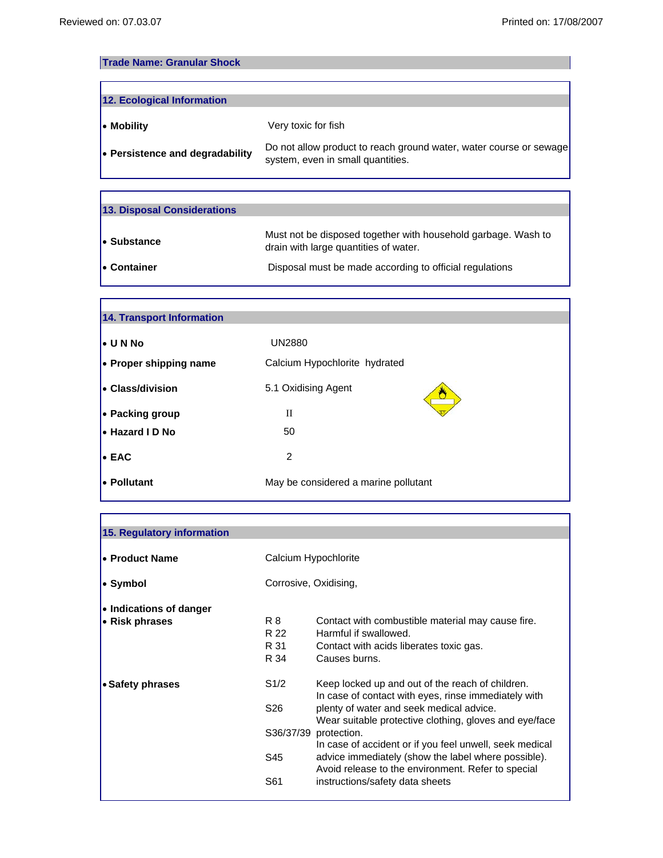ſ

Г

1

# **Trade Name: Granular Shock**

| 12. Ecological Information      |                                                                                                         |
|---------------------------------|---------------------------------------------------------------------------------------------------------|
| • Mobility                      | Very toxic for fish                                                                                     |
| • Persistence and degradability | Do not allow product to reach ground water, water course or sewage<br>system, even in small quantities. |

| 13. Disposal Considerations |                                                                                                        |
|-----------------------------|--------------------------------------------------------------------------------------------------------|
| • Substance                 | Must not be disposed together with household garbage. Wash to<br>drain with large quantities of water. |
| l• Container                | Disposal must be made according to official regulations                                                |

| <b>14. Transport Information</b> |                                      |  |
|----------------------------------|--------------------------------------|--|
| $\bullet$ UNNo                   | <b>UN2880</b>                        |  |
| • Proper shipping name           | Calcium Hypochlorite hydrated        |  |
| <b>• Class/division</b>          | 5.1 Oxidising Agent                  |  |
| • Packing group                  | П                                    |  |
| Hazard I D No                    | 50                                   |  |
| $\bullet$ EAC                    | 2                                    |  |
| l• Pollutant                     | May be considered a marine pollutant |  |

| 15. Regulatory information |                       |                                                                                                           |
|----------------------------|-----------------------|-----------------------------------------------------------------------------------------------------------|
|                            |                       |                                                                                                           |
| • Product Name             | Calcium Hypochlorite  |                                                                                                           |
|                            | Corrosive, Oxidising, |                                                                                                           |
| • Symbol                   |                       |                                                                                                           |
| • Indications of danger    |                       |                                                                                                           |
| $\bullet$ Risk phrases     | R 8<br>R 22           | Contact with combustible material may cause fire.<br>Harmful if swallowed                                 |
|                            | R 31                  | Contact with acids liberates toxic gas.                                                                   |
|                            | R 34                  | Causes burns.                                                                                             |
|                            |                       |                                                                                                           |
| • Safety phrases           | S1/2                  | Keep locked up and out of the reach of children.<br>In case of contact with eyes, rinse immediately with  |
|                            | S26                   | plenty of water and seek medical advice.<br>Wear suitable protective clothing, gloves and eye/face        |
|                            |                       | S36/37/39 protection.<br>In case of accident or if you feel unwell, seek medical                          |
|                            | S45                   | advice immediately (show the label where possible).<br>Avoid release to the environment. Refer to special |
|                            | S61                   | instructions/safety data sheets                                                                           |